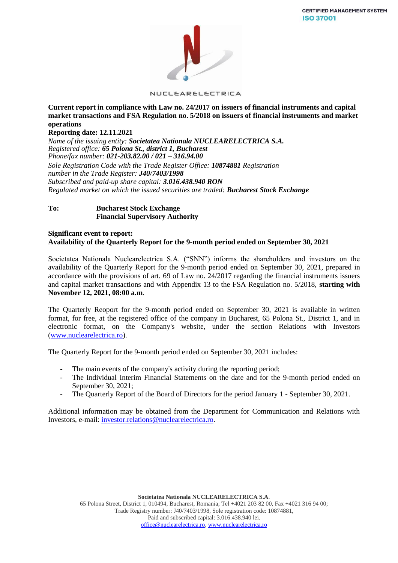

NUCLEARELECTRICA

**Current report in compliance with Law no. 24/2017 on issuers of financial instruments and capital market transactions and FSA Regulation no. 5/2018 on issuers of financial instruments and market operations**

### **Reporting date: 12.11.2021**

*Name of the issuing entity: Societatea Nationala NUCLEARELECTRICA S.A. Registered office: 65 Polona St., district 1, Bucharest Phone/fax number: 021-203.82.00 / 021 – 316.94.00 Sole Registration Code with the Trade Register Office: 10874881 Registration number in the Trade Register: J40/7403/1998 Subscribed and paid-up share capital: 3.016.438.940 RON Regulated market on which the issued securities are traded: Bucharest Stock Exchange*

## **To: Bucharest Stock Exchange Financial Supervisory Authority**

#### **Significant event to report: Availability of the Quarterly Report for the 9-month period ended on September 30, 2021**

Societatea Nationala Nuclearelectrica S.A. ("SNN") informs the shareholders and investors on the availability of the Quarterly Report for the 9-month period ended on September 30, 2021, prepared in accordance with the provisions of art. 69 of Law no. 24/2017 regarding the financial instruments issuers and capital market transactions and with Appendix 13 to the FSA Regulation no. 5/2018, **starting with November 12, 2021, 08:00 a.m**.

The Quarterly Reoport for the 9-month period ended on September 30, 2021 is available in written format, for free, at the registered office of the company in Bucharest, 65 Polona St., District 1, and in electronic format, on the Company's website, under the section Relations with Investors [\(www.nuclearelectrica.ro\)](http://www.nuclearelectrica.ro/).

The Quarterly Report for the 9-month period ended on September 30, 2021 includes:

- The main events of the company's activity during the reporting period;
- The Individual Interim Financial Statements on the date and for the 9-month period ended on September 30, 2021;
- The Quarterly Report of the Board of Directors for the period January 1 September 30, 2021.

Additional information may be obtained from the Department for Communication and Relations with Investors, e-mail[: investor.relations@nuclearelectrica.ro.](mailto:investor.relations@nuclearelectrica.ro)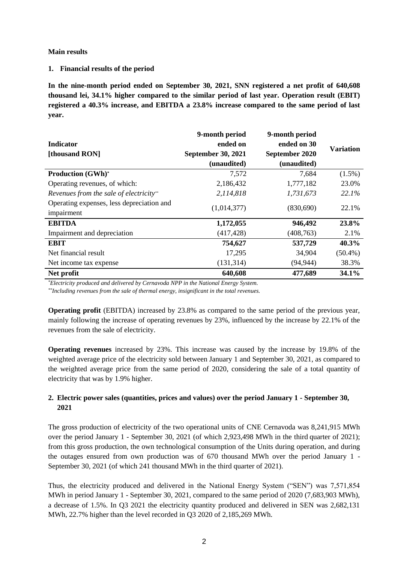### **Main results**

**1. Financial results of the period**

**In the nine-month period ended on September 30, 2021, SNN registered a net profit of 640,608 thousand lei, 34.1% higher compared to the similar period of last year. Operation result (EBIT) registered a 40.3% increase, and EBITDA a 23.8% increase compared to the same period of last year.** 

| <b>Indicator</b><br>[thousand RON]                      | 9-month period<br>ended on<br><b>September 30, 2021</b><br>(unaudited) | 9-month period<br>ended on 30<br>September 2020<br>(unaudited) | <b>Variation</b> |
|---------------------------------------------------------|------------------------------------------------------------------------|----------------------------------------------------------------|------------------|
| <b>Production (GWh)*</b>                                | 7,572                                                                  | 7,684                                                          | $(1.5\%)$        |
| Operating revenues, of which:                           | 2,186,432                                                              | 1,777,182                                                      | 23.0%            |
| Revenues from the sale of electricity**                 | 2,114,818                                                              | 1,731,673                                                      | 22.1%            |
| Operating expenses, less depreciation and<br>impairment | (1,014,377)                                                            | (830,690)                                                      | 22.1%            |
| <b>EBITDA</b>                                           | 1,172,055                                                              | 946,492                                                        | 23.8%            |
| Impairment and depreciation                             | (417, 428)                                                             | (408, 763)                                                     | 2.1%             |
| <b>EBIT</b>                                             | 754,627                                                                | 537,729                                                        | 40.3%            |
| Net financial result                                    | 17,295                                                                 | 34,904                                                         | $(50.4\%)$       |
| Net income tax expense                                  | (131, 314)                                                             | (94, 944)                                                      | 38.3%            |
| Net profit                                              | 640,608                                                                | 477,689                                                        | 34.1%            |

*\*Electricity produced and delivered by Cernavoda NPP in the National Energy System.*

*\*\*Including revenues from the sale of thermal energy, insignificant in the total revenues.*

**Operating profit** (EBITDA) increased by 23.8% as compared to the same period of the previous year, mainly following the increase of operating revenues by 23%, influenced by the increase by 22.1% of the revenues from the sale of electricity.

**Operating revenues** increased by 23%. This increase was caused by the increase by 19.8% of the weighted average price of the electricity sold between January 1 and September 30, 2021, as compared to the weighted average price from the same period of 2020, considering the sale of a total quantity of electricity that was by 1.9% higher.

# **2. Electric power sales (quantities, prices and values) over the period January 1 - September 30, 2021**

The gross production of electricity of the two operational units of CNE Cernavoda was 8,241,915 MWh over the period January 1 - September 30, 2021 (of which 2,923,498 MWh in the third quarter of 2021); from this gross production, the own technological consumption of the Units during operation, and during the outages ensured from own production was of 670 thousand MWh over the period January 1 - September 30, 2021 (of which 241 thousand MWh in the third quarter of 2021).

Thus, the electricity produced and delivered in the National Energy System ("SEN") was 7,571,854 MWh in period January 1 - September 30, 2021, compared to the same period of 2020 (7,683,903 MWh), a decrease of 1.5%. In Q3 2021 the electricity quantity produced and delivered in SEN was 2,682,131 MWh, 22.7% higher than the level recorded in Q3 2020 of 2,185,269 MWh.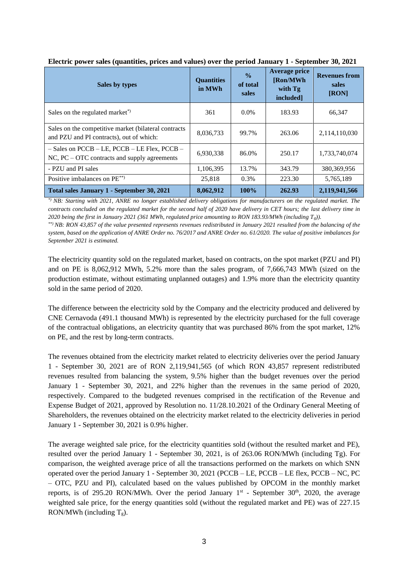| Sales by types                                                                                            | <b>Quantities</b><br>in MWh | $\frac{0}{0}$<br>of total<br>sales | Average price<br>[Ron/MWh]<br>with Tg<br>included] | <b>Revenues from</b><br>sales<br>[RON] |
|-----------------------------------------------------------------------------------------------------------|-----------------------------|------------------------------------|----------------------------------------------------|----------------------------------------|
| Sales on the regulated market <sup>*</sup>                                                                | 361                         | $0.0\%$                            | 183.93                                             | 66.347                                 |
| Sales on the competitive market (bilateral contracts<br>and PZU and PI contracts), out of which:          | 8,036,733                   | 99.7%                              | 263.06                                             | 2,114,110,030                          |
| $-$ Sales on PCCB $-$ LE, PCCB $-$ LE Flex, PCCB $-$<br>$NC$ , $PC - OTC$ contracts and supply agreements | 6,930,338                   | 86.0%                              | 250.17                                             | 1,733,740,074                          |
| - PZU and PI sales                                                                                        | 1,106,395                   | 13.7%                              | 343.79                                             | 380, 369, 956                          |
| Positive imbalances on PE <sup>**</sup> )                                                                 | 25,818                      | 0.3%                               | 223.30                                             | 5,765,189                              |
| <b>Total sales January 1 - September 30, 2021</b>                                                         | 8,062,912                   | 100%                               | 262.93                                             | 2,119,941,566                          |

**Electric power sales (quantities, prices and values) over the period January 1 - September 30, 2021**

*\*) NB: Starting with 2021, ANRE no longer established delivery obligations for manufacturers on the regulated market. The contracts concluded on the regulated market for the second half of 2020 have delivery in CET hours; the last delivery time in 2020 being the first in January 2021 (361 MWh, regulated price amounting to RON 183.93/MWh (including Tg)).*

*\*\*) NB: RON 43,857 of the value presented represents revenues redistributed in January 2021 resulted from the balancing of the system, based on the application of ANRE Order no. 76/2017 and ANRE Order no. 61/2020. The value of positive imbalances for September 2021 is estimated.* 

The electricity quantity sold on the regulated market, based on contracts, on the spot market (PZU and PI) and on PE is 8,062,912 MWh, 5.2% more than the sales program, of 7,666,743 MWh (sized on the production estimate, without estimating unplanned outages) and 1.9% more than the electricity quantity sold in the same period of 2020.

The difference between the electricity sold by the Company and the electricity produced and delivered by CNE Cernavoda (491.1 thousand MWh) is represented by the electricity purchased for the full coverage of the contractual obligations, an electricity quantity that was purchased 86% from the spot market, 12% on PE, and the rest by long-term contracts.

The revenues obtained from the electricity market related to electricity deliveries over the period January 1 - September 30, 2021 are of RON 2,119,941,565 (of which RON 43,857 represent redistributed revenues resulted from balancing the system, 9.5% higher than the budget revenues over the period January 1 - September 30, 2021, and 22% higher than the revenues in the same period of 2020, respectively. Compared to the budgeted revenues comprised in the rectification of the Revenue and Expense Budget of 2021, approved by Resolution no. 11/28.10.2021 of the Ordinary General Meeting of Shareholders, the revenues obtained on the electricity market related to the electricity deliveries in period January 1 - September 30, 2021 is 0.9% higher.

The average weighted sale price, for the electricity quantities sold (without the resulted market and PE), resulted over the period January 1 - September 30, 2021, is of 263.06 RON/MWh (including Tg). For comparison, the weighted average price of all the transactions performed on the markets on which SNN operated over the period January 1 - September 30, 2021 (PCCB – LE, PCCB – LE flex, PCCB – NC, PC – OTC, PZU and PI), calculated based on the values published by OPCOM in the monthly market reports, is of 295.20 RON/MWh. Over the period January  $1<sup>st</sup>$  - September 30<sup>th</sup>, 2020, the average weighted sale price, for the energy quantities sold (without the regulated market and PE) was of 227.15 RON/MWh (including  $T_g$ ).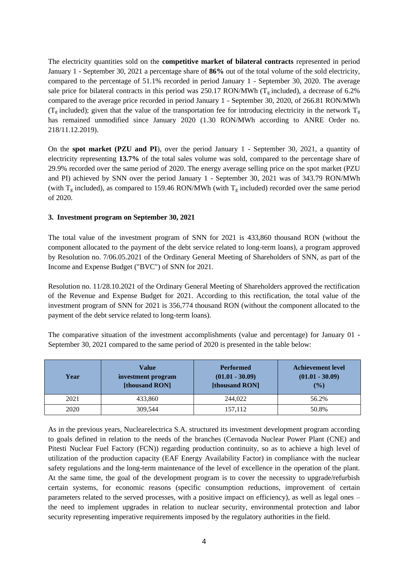The electricity quantities sold on the **competitive market of bilateral contracts** represented in period January 1 - September 30, 2021 a percentage share of **86%** out of the total volume of the sold electricity, compared to the percentage of 51.1% recorded in period January 1 - September 30, 2020. The average sale price for bilateral contracts in this period was 250.17 RON/MWh ( $T<sub>g</sub>$  included), a decrease of 6.2% compared to the average price recorded in period January 1 - September 30, 2020, of 266.81 RON/MWh ( $T_g$  included); given that the value of the transportation fee for introducing electricity in the network  $T_g$ has remained unmodified since January 2020 (1.30 RON/MWh according to ANRE Order no. 218/11.12.2019).

On the **spot market (PZU and PI**), over the period January 1 - September 30, 2021, a quantity of electricity representing **13.7%** of the total sales volume was sold, compared to the percentage share of 29.9% recorded over the same period of 2020. The energy average selling price on the spot market (PZU and PI) achieved by SNN over the period January 1 - September 30, 2021 was of 343.79 RON/MWh (with  $T_g$  included), as compared to 159.46 RON/MWh (with  $T_g$  included) recorded over the same period of 2020.

## **3. Investment program on September 30, 2021**

The total value of the investment program of SNN for 2021 is 433,860 thousand RON (without the component allocated to the payment of the debt service related to long-term loans), a program approved by Resolution no. 7/06.05.2021 of the Ordinary General Meeting of Shareholders of SNN, as part of the Income and Expense Budget ("BVC") of SNN for 2021.

Resolution no. 11/28.10.2021 of the Ordinary General Meeting of Shareholders approved the rectification of the Revenue and Expense Budget for 2021. According to this rectification, the total value of the investment program of SNN for 2021 is 356,774 thousand RON (without the component allocated to the payment of the debt service related to long-term loans).

The comparative situation of the investment accomplishments (value and percentage) for January 01 - September 30, 2021 compared to the same period of 2020 is presented in the table below:

| Year | Value<br>investment program<br>[thousand RON] | <b>Performed</b><br>$(01.01 - 30.09)$<br>[thousand RON] | <b>Achievement level</b><br>$(01.01 - 30.09)$<br>$($ %) |
|------|-----------------------------------------------|---------------------------------------------------------|---------------------------------------------------------|
| 2021 | 433,860                                       | 244,022                                                 | 56.2%                                                   |
| 2020 | 309,544                                       | 157,112                                                 | 50.8%                                                   |

As in the previous years, Nuclearelectrica S.A. structured its investment development program according to goals defined in relation to the needs of the branches (Cernavoda Nuclear Power Plant (CNE) and Pitesti Nuclear Fuel Factory (FCN)) regarding production continuity, so as to achieve a high level of utilization of the production capacity (EAF Energy Availability Factor) in compliance with the nuclear safety regulations and the long-term maintenance of the level of excellence in the operation of the plant. At the same time, the goal of the development program is to cover the necessity to upgrade/refurbish certain systems, for economic reasons (specific consumption reductions, improvement of certain parameters related to the served processes, with a positive impact on efficiency), as well as legal ones – the need to implement upgrades in relation to nuclear security, environmental protection and labor security representing imperative requirements imposed by the regulatory authorities in the field.